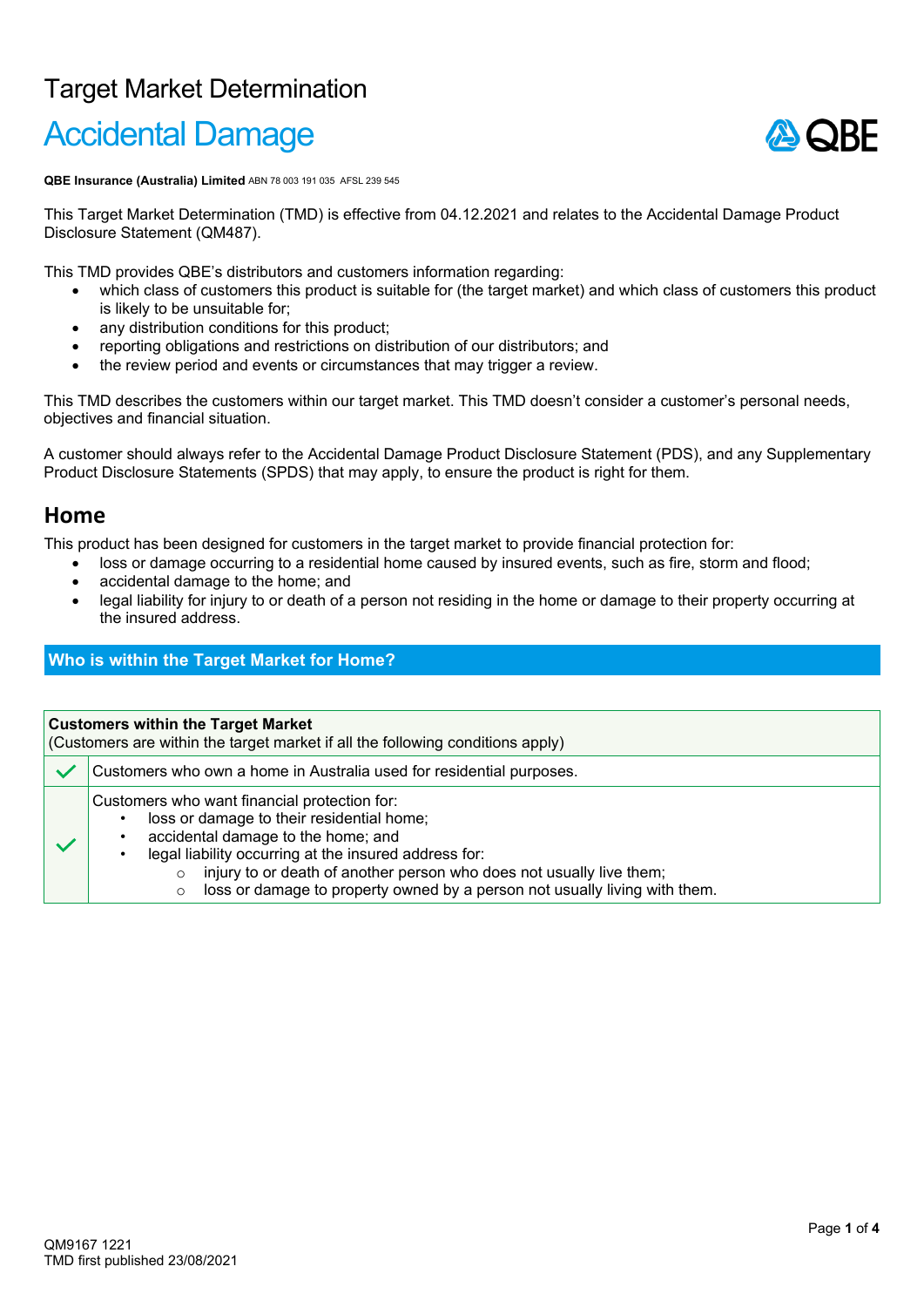# Target Market Determination

# Accidental Damage



**QBE Insurance (Australia) Limited** ABN 78 003 191 035 AFSL 239 545

This Target Market Determination (TMD) is effective from 04.12.2021 and relates to the Accidental Damage Product Disclosure Statement (QM487).

This TMD provides QBE's distributors and customers information regarding:

- which class of customers this product is suitable for (the target market) and which class of customers this product is likely to be unsuitable for;
- any distribution conditions for this product;
- reporting obligations and restrictions on distribution of our distributors; and
- the review period and events or circumstances that may trigger a review.

This TMD describes the customers within our target market. This TMD doesn't consider a customer's personal needs, objectives and financial situation.

A customer should always refer to the Accidental Damage Product Disclosure Statement (PDS), and any Supplementary Product Disclosure Statements (SPDS) that may apply, to ensure the product is right for them.

# **Home**

This product has been designed for customers in the target market to provide financial protection for:

- loss or damage occurring to a residential home caused by insured events, such as fire, storm and flood;
	- accidental damage to the home; and
- legal liability for injury to or death of a person not residing in the home or damage to their property occurring at the insured address.

## **Who is within the Target Market for Home?**

#### **Customers within the Target Market**

(Customers are within the target market if all the following conditions apply)

Customers who own a home in Australia used for residential purposes.

Customers who want financial protection for:

- loss or damage to their residential home;
- accidental damage to the home; and
- legal liability occurring at the insured address for:
	- $\circ$  injury to or death of another person who does not usually live them;<br> $\circ$  loss or damage to property owned by a person not usually living with
		- loss or damage to property owned by a person not usually living with them.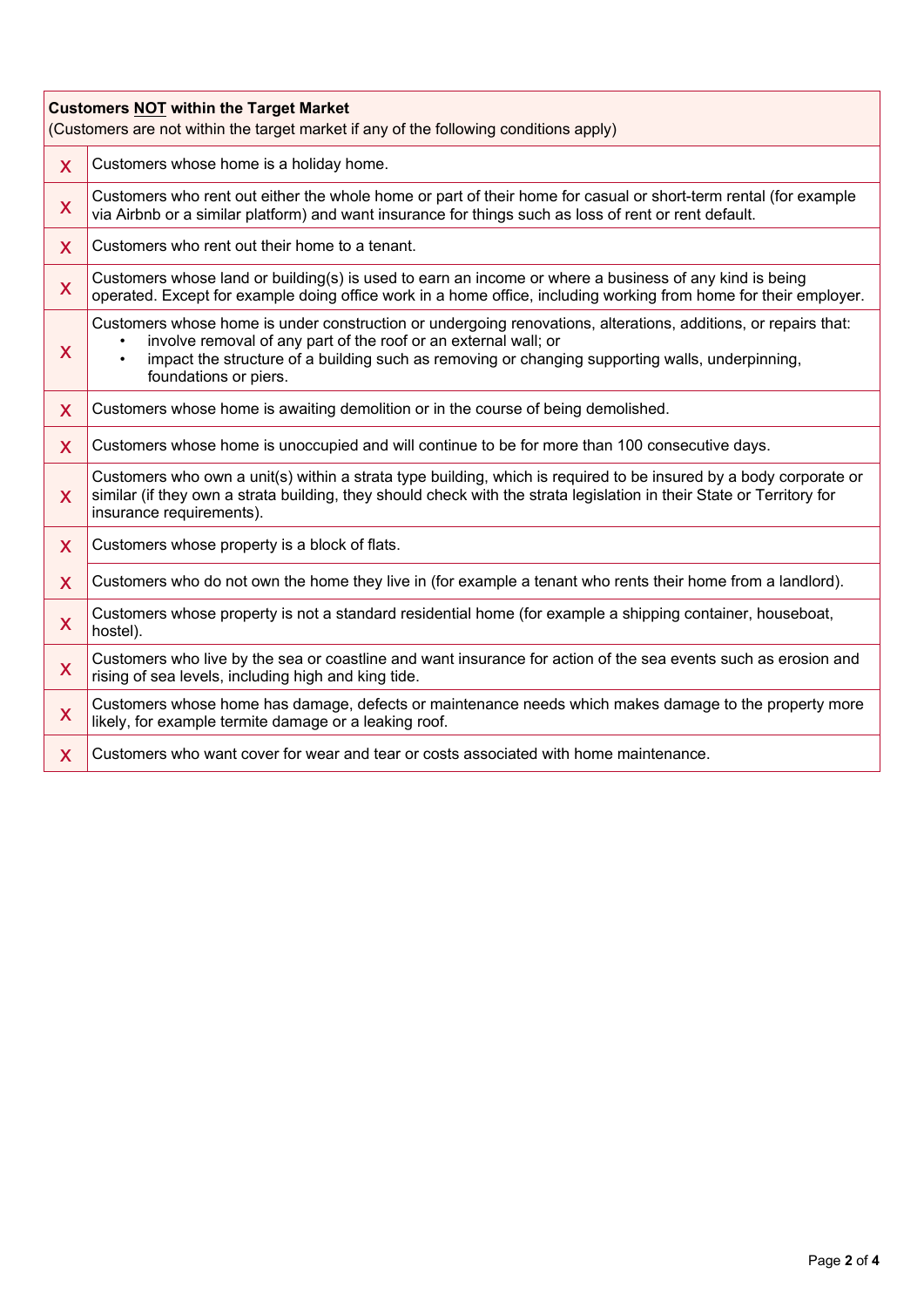| <b>Customers NOT within the Target Market</b><br>(Customers are not within the target market if any of the following conditions apply) |                                                                                                                                                                                                                                                                                                                                 |  |
|----------------------------------------------------------------------------------------------------------------------------------------|---------------------------------------------------------------------------------------------------------------------------------------------------------------------------------------------------------------------------------------------------------------------------------------------------------------------------------|--|
| $\mathsf{X}$                                                                                                                           | Customers whose home is a holiday home.                                                                                                                                                                                                                                                                                         |  |
| X                                                                                                                                      | Customers who rent out either the whole home or part of their home for casual or short-term rental (for example<br>via Airbnb or a similar platform) and want insurance for things such as loss of rent or rent default.                                                                                                        |  |
| $\mathsf{X}$                                                                                                                           | Customers who rent out their home to a tenant.                                                                                                                                                                                                                                                                                  |  |
| X                                                                                                                                      | Customers whose land or building(s) is used to earn an income or where a business of any kind is being<br>operated. Except for example doing office work in a home office, including working from home for their employer.                                                                                                      |  |
| X                                                                                                                                      | Customers whose home is under construction or undergoing renovations, alterations, additions, or repairs that:<br>involve removal of any part of the roof or an external wall; or<br>٠<br>impact the structure of a building such as removing or changing supporting walls, underpinning,<br>$\bullet$<br>foundations or piers. |  |
| X                                                                                                                                      | Customers whose home is awaiting demolition or in the course of being demolished.                                                                                                                                                                                                                                               |  |
| $\mathsf{X}$                                                                                                                           | Customers whose home is unoccupied and will continue to be for more than 100 consecutive days.                                                                                                                                                                                                                                  |  |
| X                                                                                                                                      | Customers who own a unit(s) within a strata type building, which is required to be insured by a body corporate or<br>similar (if they own a strata building, they should check with the strata legislation in their State or Territory for<br>insurance requirements).                                                          |  |
| X                                                                                                                                      | Customers whose property is a block of flats.                                                                                                                                                                                                                                                                                   |  |
| $\mathsf{X}$                                                                                                                           | Customers who do not own the home they live in (for example a tenant who rents their home from a landlord).                                                                                                                                                                                                                     |  |
| X                                                                                                                                      | Customers whose property is not a standard residential home (for example a shipping container, houseboat,<br>hostel).                                                                                                                                                                                                           |  |
| X                                                                                                                                      | Customers who live by the sea or coastline and want insurance for action of the sea events such as erosion and<br>rising of sea levels, including high and king tide.                                                                                                                                                           |  |
| X                                                                                                                                      | Customers whose home has damage, defects or maintenance needs which makes damage to the property more<br>likely, for example termite damage or a leaking roof.                                                                                                                                                                  |  |
| $\mathsf{X}$                                                                                                                           | Customers who want cover for wear and tear or costs associated with home maintenance.                                                                                                                                                                                                                                           |  |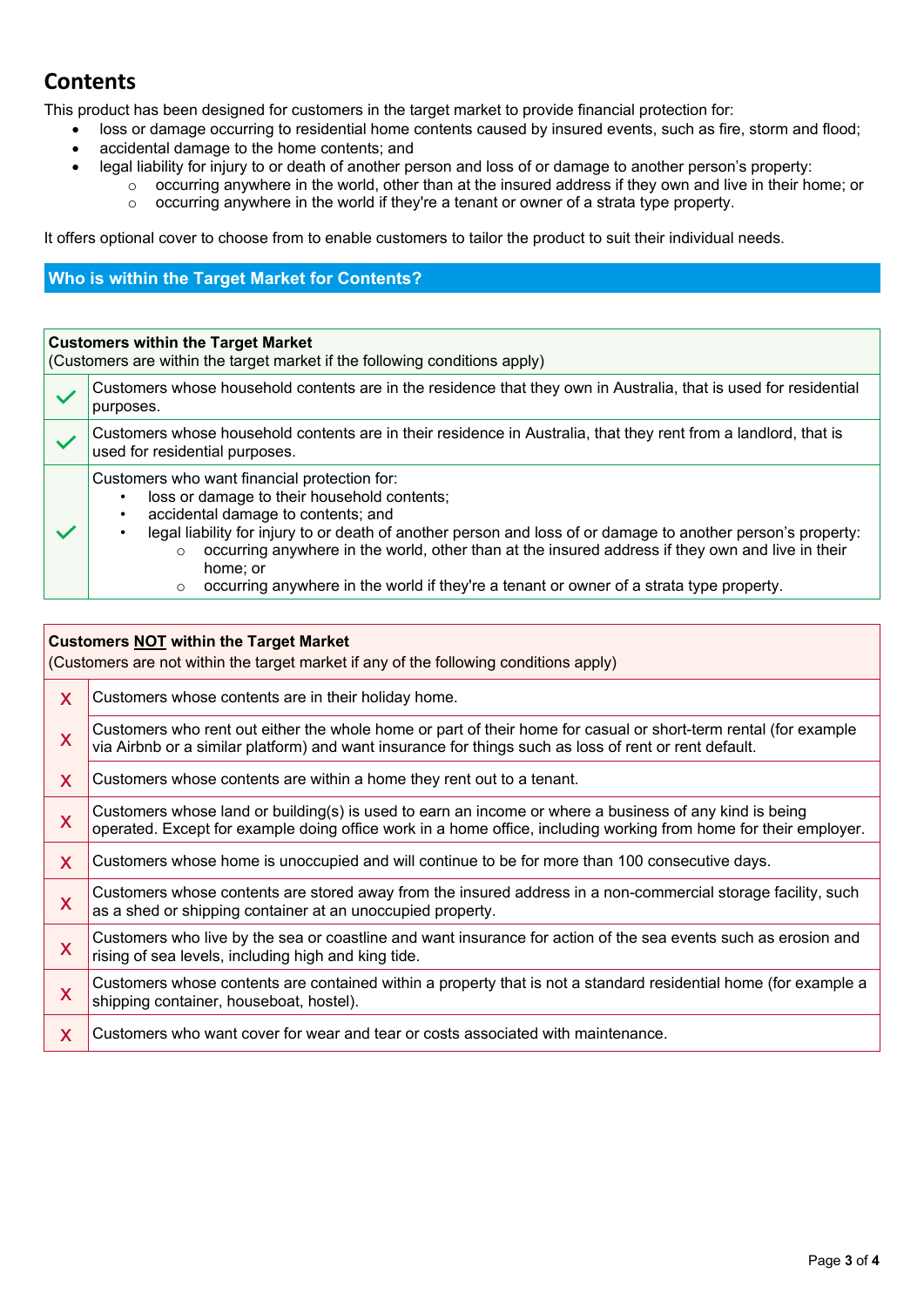# **Contents**

This product has been designed for customers in the target market to provide financial protection for:

- loss or damage occurring to residential home contents caused by insured events, such as fire, storm and flood;
- accidental damage to the home contents; and
- legal liability for injury to or death of another person and loss of or damage to another person's property:
	- o occurring anywhere in the world, other than at the insured address if they own and live in their home; or
		- $\circ$  occurring anywhere in the world if they're a tenant or owner of a strata type property.

It offers optional cover to choose from to enable customers to tailor the product to suit their individual needs.

# **Who is within the Target Market for Contents?**

#### **Customers within the Target Market**

(Customers are within the target market if the following conditions apply)

| Customers whose household contents are in the residence that they own in Australia, that is used for residential<br>purposes.                                                                                                                                                                                                                                                                                                                                                      |  |
|------------------------------------------------------------------------------------------------------------------------------------------------------------------------------------------------------------------------------------------------------------------------------------------------------------------------------------------------------------------------------------------------------------------------------------------------------------------------------------|--|
| Customers whose household contents are in their residence in Australia, that they rent from a landlord, that is<br>used for residential purposes.                                                                                                                                                                                                                                                                                                                                  |  |
| Customers who want financial protection for:<br>loss or damage to their household contents;<br>accidental damage to contents; and<br>legal liability for injury to or death of another person and loss of or damage to another person's property:<br>occurring anywhere in the world, other than at the insured address if they own and live in their<br>$\circ$<br>home; or<br>occurring anywhere in the world if they're a tenant or owner of a strata type property.<br>$\circ$ |  |

# **Customers NOT within the Target Market**

(Customers are not within the target market if any of the following conditions apply) **x** Customers whose contents are in their holiday home. Customers who rent out either the whole home or part of their home for casual or short-term rental (for example  $\mathbf x$ ) wis Airbah are similar platform) and want incurred for things auch as less of rant or rent default. via Airbnb or a similar platform) and want insurance for things such as loss of rent or rent default.  $\chi$  Customers whose contents are within a home they rent out to a tenant. Customers whose land or building(s) is used to earn an income or where a business of any kind is being  $\mathbf x$ operated. Except for example doing office work in a home office, including working from home for their employer. X Customers whose home is unoccupied and will continue to be for more than 100 consecutive days. X Customers whose contents are stored away from the insured address in a non-commercial storage facility, such as a shed or shipping container at an unoccupied property. x Customers who live by the sea or coastline and want insurance for action of the sea events such as erosion and rising of sea levels, including high and king tide. X Customers whose contents are contained within a property that is not a standard residential home (for example a stationing container househoot hostel) shipping container, houseboat, hostel). x Customers who want cover for wear and tear or costs associated with maintenance.